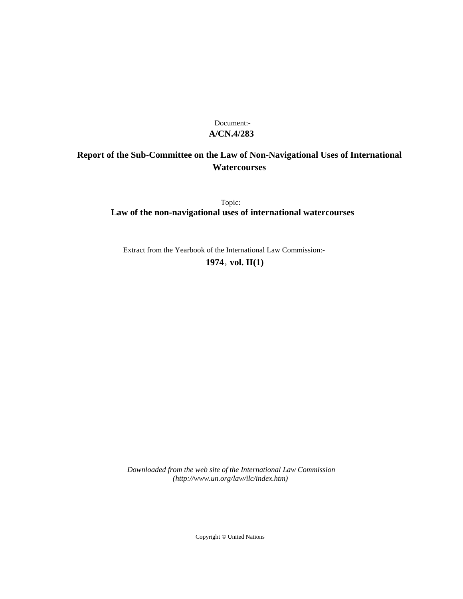## **A/CN.4/283** Document:-

# **Report of the Sub-Committee on the Law of Non-Navigational Uses of International Watercourses**

Topic: **Law of the non-navigational uses of international watercourses**

Extract from the Yearbook of the International Law Commission:-

**1974** , **vol. II(1)**

*Downloaded from the web site of the International Law Commission (http://www.un.org/law/ilc/index.htm)*

Copyright © United Nations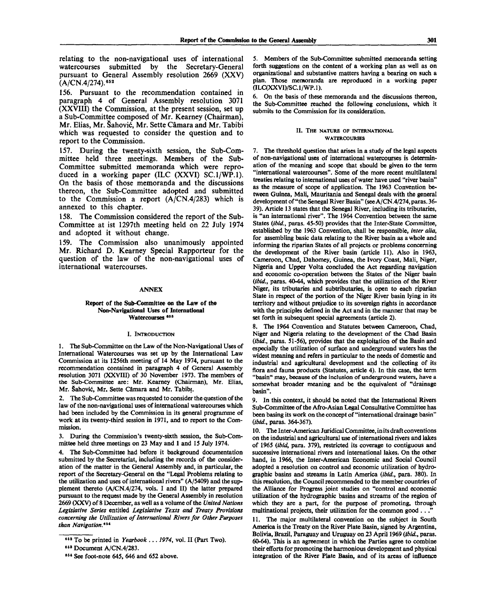relating to the non-navigational uses of international watercourses submitted by the Secretary-General pursuant to General Assembly resolution 2669 (XXV)  $(A/CN.4/274).$ <sup>652</sup>

156. Pursuant to the recommendation contained in paragraph 4 of General Assembly resolution 3071 (XXVIII) the Commission, at the present session, set up a Sub-Committee composed of Mr. Kearney (Chairman), Mr. Elias, Mr. Šahović, Mr. Sette Câmara and Mr. Tabibi which was requested to consider the question and to report to the Commission.

157. During the twenty-sixth session, the Sub-Committee held three meetings. Members of the Sub-Committee submitted memoranda which were reproduced in a working paper (ILC  $(XXVI)$  SC.1/WP.1). On the basis of those memoranda and the discussions thereon, the Sub-Committee adopted and submitted to the Commission a report  $(A/CN.4/283)$  which is annexed to this chapter.

158. The Commission considered the report of the Sub-Committee at ist 1297th meeting held on 22 July 1974 and adopted it without change.

159. The Commission also unanimously appointed Mr. Richard D. Kearney Special Rapporteur for the question of the law of the non-navigational uses of international watercourses.

#### ANNEX

## Report of the Sub-Committee on **the** Law of the Non-Navigational Uses of **International** Watercourses <sup>653</sup>

#### I. INTRODUCTION

1. The Sub-Committee on the Law of the Non-Navigational Uses of International Watercourses was set up by the International Law Commission at its 1256th meeting of 14 May 1974, pursuant to the recommendation contained in paragraph 4 of General Assembly resolution 3071 (XXVIII) of 30 November 1973. The members of the Sub-Committee are: Mr. Kearney (Chairman), Mr. Elias, Mr. Šahović, Mr. Sette Câmara and Mr. Tabibi.

2. The Sub-Committee was requested to consider the question of the law of the non-navigational uses of international watercourses which had been included by the Commission in its general programme of work at its twenty-third session in 1971, and to report to the Commission.

3. During the Commission's twenty-sixth session, the Sub-Committee held three meetings on 23 May and 1 and 15 July 1974.

4. The Sub-Committee had before it background documentation submitted by the Secretariat, including the records of the consideration of the matter in the General Assembly and, in particular, the report of the Secretary-General on the "Legal Problems relating to the utilization and uses of international rivers" (A/5409) and the supplement thereto (A/CN.4/274, vols. I and II) the latter prepared pursuant to the request made by the General Assembly in resolution 2669 (XXV) of 8 December, as well as a volume of the *United Nations Legislative Series* entitled *Legislative Texts and Treaty Provisions concerning the Utilization of International Rivers for Other Purposes than Navigation."<sup>5</sup> \**

5. Members of the Sub-Committee submitted memoranda setting forth suggestions on the content of a working plan as well as on organizational and substantive matters having a bearing on such a plan. Those memoranda are reproduced in a working paper (ILC(XXVI)/SC.l/WP.l).

6. On the basis of these memoranda and the discussions thereon, the Sub-Committee reached the following conclusions, which it submits to the Commission for its consideration.

#### II. THE NATURE OF INTERNATIONAL **WATERCOURSES**

7. The threshold question that arises in a study of the legal aspects of non-navigational uses of international watercourses is determination of the meaning and scope that should be given to the term "international watercourses". Some of the more recent multilateral treaties relating to international uses of water have used "river basin" as the measure of scope of application. The 1963 Convention between Guinea, Mali, Mauritania and Senegal deals with the general development of "the Senegal River Basin" (see A/CN.4/274, paras. 36- 39). Article 13 states that the Senegal River, including its tributaries, is "an international river". The 1964 Convention between the same States *(ibid.,* paras. 45-50) provides that the Inter-State Committee, established by the 1963 Convention, shall be responsible, *inter alia,* for assembling basic data relating to the River basin as a whole and informing the riparian States of all projects or problems concerning the development of the River basin (article 11). Also in 1963, Cameroon, Chad, Dahomey, Guinea, the Ivory Coast, Mali, Niger, Nigeria and Upper Volta concluded the Act regarding navigation and economic co-operation between the States of the Niger basin *(ibid.,* paras. 40-44, which provides that the utilization of the River Niger, its tributaries and subtributaries, is open to each riparian State in respect of the portion of the Niger River basin lying in its territory and without prejudice to its sovereign rights in accordance with the principles defined in the Act and in the manner that may be set forth in subsequent special agreements (article 2).

8. The 1964 Convention and Statutes between Cameroon, Chad, Niger and Nigeria relating to the development of the Chad Basin *(ibid.,* paras. 51-56), provides that the exploitation of the Basin and especially the utilization of surface and underground waters has the widest meaning and refers in particular to the needs of domestic and industrial and agricultural development and the collecting of its flora and fauna products (Statutes, article 4). In this case, the term "basin" may, because of the inclusion of underground waters, have a somewhat broader meaning and be the equivalent of "drainage basin".

9. In this context, it should be noted that the International Rivers Sub-Committee of the Afro-Asian Legal Consultative Committee has been basing its work on the concept of "international drainage basin" *(ibid.,* paras. 364-367).

10. The Inter-American Juridical Committee, in its draft conventions on the industrial and agricultural use of international rivers and lakes of 1965 *(ibid,* para. 379), restricted its coverage to contiguous and successive international rivers and international lakes. On the other hand, in 1966, the Inter-American Economic and Social Council adopted a resolution on control and economic utilization of hydrographic basins and streams in Latin America *(ibid.,* para. 380). In this resolution, the Council recommended to the member countries of the Alliance for Progress joint studies on "control and economic utilization of the hydrographic basins and streams of the region of which they are a part, for the purpose of promoting, through multinational projects, their utilization for the common good  $\dots$ 

11. The major multilateral convention on the subject in South America is the Treaty on the River Plate Basin, signed by Argentina, Bolivia, Brazil, Paraguay and Uruguay on 23 April 1969 *(ibid.,* paras. 60-64). This is an agreement in which the Parties agree to combine their efforts for promoting the harmonious development and physical integration of the River Plate Basin, and of its areas of influence

<sup>982</sup> To be printed in *Yearbook* .. . *1974,* vol. II (Part Two).

<sup>863</sup> Document A/CN.4/283.

<sup>984</sup> See foot-note 645, 646 and 652 above.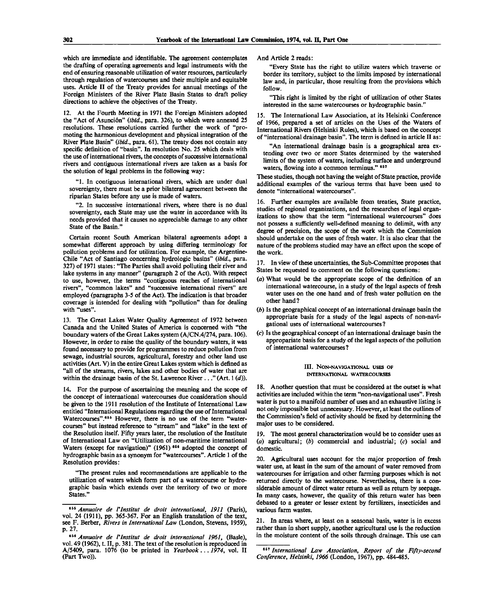which are immediate and identifiable. The agreement contemplates the drafting of operating agreements and legal instruments with the end of ensuring reasonable utilization of water resources, particularly through regulation of watercourses and their multiple and equitable uses. Article II of the Treaty provides for annual meetings of the Foreign Ministers of the River Plate Basin States to draft policy directions to achieve the objectives of the Treaty.

12. At the Fourth Meeting in 1971 the Foreign Ministers adopted the "Act of Asunci6n" *(ibid.,* para. 326), to which were annexed 25 resolutions. These resolutions carried further the work of "promoting the harmonious development and physical integration of the River Plate Basin" *(ibid.,* para. 61). The treaty does not contain any specific definition of "basin". In resolution No. 25 which deals with the use of international rivers, the concepts of successive international rivers and contiguous international rivers are taken as a basis for the solution of legal problems in the following way:

"1. In contiguous international rivers, which are under dual sovereignty, there must be a prior bilateral agreement between the riparian States before any use is made of waters.

"2. In successive international rivers, where there is no dual sovereignty, each State may use the water in accordance with its needs provided that it causes no appreciable damage to any other State of the Basin."

Certain recent South American bilateral agreements adopt a somewhat different approach by using differing terminology for pollution problems and for utilization. For example, the Argentine-Chile "Act of Santiago concerning hydrologic basins" *(ibid.,* para. 327) of 1971 states: "The Parties shall avoid polluting their river and lake systems in any manner" (paragraph 2 of the Act). With respect to use, however, the terms "contiguous reaches of international rivers", "common lakes" and "successive international rivers" are employed (paragraphs 3-5 of the Act). The indication is that broader coverage is intended for dealing with "pollution" than for dealing with "uses".

13. The Great Lakes Water Quality Agreement of 1972 between Canada and the United States of America is concerned with "the boundary waters of the Great Lakes system (A/CN.4/274, para. 106). However, in order to raise the quality of the boundary waters, it was found necessary to provide for programmes to reduce pollution from sewage, industrial sources, agricultural, forestry and other land use activities (Art. V) in the entire Great Lakes system which is defined as "all of the streams, rivers, lakes and other bodies of water that are within the drainage basin of the St. Lawrence River ... " (Art. 1 *(d)).*

14. For the purpose of ascertaining the meaning and the scope of the concept of international watercourses due consideration should be given to the 1911 resolution of the Institute of International Law entitled "International Regulations regarding the use of International Watercourses".<sup>655</sup> However, there is no use of the term "watercourses" but instead reference to "stream" and "lake" in the text of the Resolution itself. Fifty years later, the resolution of the Institute of International Law on "Utilization of non-maritime international Waters (except for navigation)" (1961) <sup>656</sup> adopted the concept of hydrographic basin as a synonym for "watercourses". Article 1 of the Resolution provides:

"The present rules and recommendations are applicable to the utilization of waters which form part of a watercourse or hydrographic basin which extends over the territory of two or more States."

And Article 2 reads:

"Every State has the right to utilize waters which traverse or border its territory, subject to the limits imposed by international law and, in particular, those resulting from the provisions which follow.

"This right is limited by the right of utilization of other States interested in the same watercourses or hydrographic basin."

15. The International Law Association, at its Helsinki Conference of 1966, prepared a set of articles on the Uses of the Waters of International Rivers (Helsinki Rules), which is based on the concept of "international drainage basin". The term is defined in article II as:

"An international drainage basin is a geographical area extending over two or more States determined by the watershed limits of the system of waters, including surface and underground waters, flowing into a common terminus." 657

These studies, though not having the weight of State practice, provide additional examples of the various terms that have been used to denote "international watercourses".

16. Further examples are available from treaties, State practice, studies of regional organizations, and the researches of legal organizations to show that the term "international watercourses" does not possess a sufficiently well-defined meaning to delimit, with any degree of precision, the scope of the work which the Commission should undertake on the uses of fresh water. It is also clear that the nature of the problems studied may have an effect upon the scope of the work.

17. In view of these uncertainties, the Sub-Committee proposes that States be requested to comment on the following questions:

- *(a)* What would be the appropriate scope of the definition of an international watercourse, in a study of the legal aspects of fresh water uses on the one hand and of fresh water pollution on the other hand?
- *(b)* Is the geographical concept of an international drainage basin the appropriate basis for a study of the legal aspects of non-navigational uses of international watercourses?
- *(c)* Is the geographical concept of an international drainage basin the appropariate basis for a study of the legal aspects of the pollution of international watercourses?

#### III. NON-NAVIGATIONAL USES OF **INTERNATIONAL WATERCOURSES**

18. Another question that must be considered at the outset is what activities are included within the term "non-navigational uses". Fresh water is put to a manifold number of uses and an exhaustive listing is not only impossible but unnecessary. However, at least the outlines of the Commission's field of activity should be fixed by determining the major uses to be considered.

19. The most general characterization would be to consider uses as *(a)* agricultural; *(b)* commercial and industrial; (c) social and domestic.

20. Agricultural uses account for the major proportion of fresh water use, at least in the sum of the amount of water removed from watercourses for irrigation and other farming purposes which is not returned directly to the watercourse. Nevertheless, there is a considerable amount of direct water return as well as return by seepage. In many cases, however, the quality of this return water has been debased to a greater or lesser extent by fertilizers, insecticides and various farm wastes.

21. In areas where, at least on a seasonal basis, water is in excess rather than in short supply, another agricultural use is the reduction in the moisture content of the soils through drainage. This use can

<sup>656</sup>  *Annuaire de Vlnstitut de droit international, 1911* (Paris), vol. 24 (1911), pp. 365-367. For an English translation of the text, see F. Berber, *Rivers in International Law* (London, Stevens, 1959), p. 27.

<sup>669</sup>  *Annuaire de Vlnstitut de droit international 1961,* (Basle), vol. 49 (1962), t. II, p. 381. The text of the resolution is reproduced in A/5409, para. 1076 (to be printed in *Yearbook*. .. *1974,* vol. II (Part Two)).

<sup>&</sup>lt;sup>657</sup> International Law Association, Report of the Fifty-second *Conference, Helsinki, 1966* (London, 1967), pp. 484-485.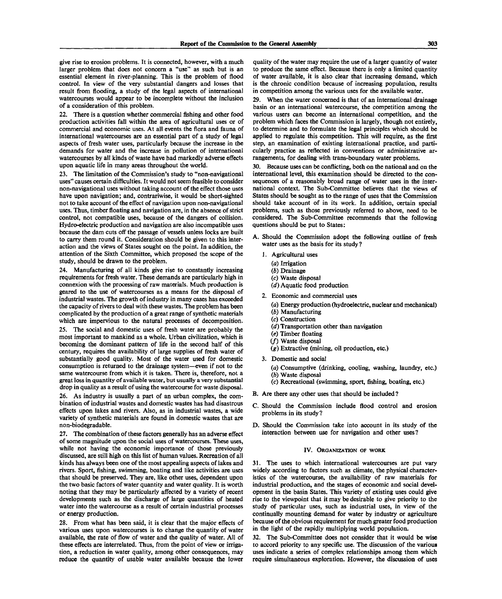give rise to erosion problems. It is connected, however, with a much larger problem that does not concern a "use" as such but is an essential element in river-planning. This is the problem of flood control. In view of the very substantial dangers and losses that result from flooding, a study of the legal aspects of international watercourses would appear to be incomplete without the inclusion of a consideration of this problem.

22. There is a question whether commercial fishing and other food production activities fall within the area of agricultural uses or of commercial and economic uses. At all events the flora and fauna of international watercourses are an essential part of a study of legal aspects of fresh water uses, particularly because the increase in the demands for water and the increase in pollution of international watercourses by all kinds of waste have had markedly adverse effects upon aquatic life in many areas throughout the world.

23. The limitation of the Commission's study to "non-navigational uses" causes certain difficulties. It would not seem feasible to consider non-navigational uses without taking account of the effect those uses have upon navigation; and, contrariwise, it would be short-sighted not to take account of the effect of navigation upon non-navigational uses. Thus, timber floating and navigation are, in the absence of strict control, not compatible uses, because of the dangers of collision. Hydro-electric production and navigation are also incompatible uses because the dam cuts off the passage of vessels unless locks are built to carry them round it. Consideration should be given to this interaction and the views of States sought on the point. In addition, the attention of the Sixth Committee, which proposed the scope of the study, should be drawn to the problem.

24. Manufacturing of all kinds give rise to constantly increasing requirements for fresh water. These demands are particularly high in connexion with the processing of raw materials. Much production is geared to the use of watercourses as a means for the disposal of industrial wastes. The growth of industry in many cases has exceeded the capacity of rivers to deal with these wastes. The problem has been complicated by the production of a great range of synthetic materials which are impervious to the natural processes of decomposition.

25. The social and domestic uses of fresh water are probably the most important to mankind as a whole. Urban civilization, which is becoming the dominant pattern of life in the second half of this century, requires the availability of large supplies of fresh water of substantially good quality. Most of the water used for domestic consumption is returned to the drainage system—even if not to the same watercourse from which it is taken. There is, therefore, not a great loss in quantity of available water, but usually a very substantial drop in quality as a result of using the watercourse for waste disposal.

26. As industry is usually a part of an urban complex, the combination of industrial wastes and domestic wastes has had disastrous effects upon lakes and rivers. Also, as in industrial wastes, a wide variety of synthetic materials are found in domestic wastes that are non-biodegradable.

27. The combination of these factors generally has an adverse effect of some magnitude upon the social uses of watercourses. These uses, while not having the economic importance of those previously discussed, are still high on this list of human values. Recreation of all kinds has always been one of the most appealing aspects of lakes and rivers. Sport, fishing, swimming, boating and like activities are uses that should be preserved. They are, like other uses, dependent upon the two basic factors of water quantity and water quality. It is worth noting that they may be particularly affected by a variety of recent developments such as the discharge of large quantities of heated water into the watercourse as a result of certain industrial processes or energy production.

28. From what has been said, it is clear that the major effects of various uses upon watercourses is to change the quantity of water available, the rate of flow of water and the quality of water. All of these effects are interrelated. Thus, from the point of view or irrigation, a reduction in water quality, among other consequences, may reduce the quantity of usable water available because the lower

quality of the water may require the use of a larger quantity of water to produce the same effect. Because there is only a limited quantity of water available, it is also clear that increasing demand, which is the chronic condition because of increasing population, results in competition among the various uses for the available water.

29. When the water concerned is that of an international drainage basin or an international watercourse, the competition among the various users can become an international competition, and the problem which faces the Commission is largely, though not entirely, to determine and to formulate the legal principles which should be applied to regulate this competition. This will require, as the first step, an examination of existing international practice, and particularly practice as reflected in conventions or administrative arrangements, for dealing with trans-boundary water problems.

30. Because uses can be conflicting, both on the national and on the international level, this examination should be directed to the consequences of a reasonably broad range of water uses in the international context. The Sub-Committee believes that the views of States should be sought as to the range of uses that the Commission should take account of in its work. In addition, certain special problems, such as those previously referred to above, need to be considered. The Sub-Committee recommends that the following questions should be put to States:

- A. Should the Commission adopt the following outline of fresh water uses as the basis for its study?
	- 1. Agricultural uses
		- *(a)* Irrigation
		- *(b)* Drainage
		- (c) Waste disposal
		- *(d)* Aquatic food production
	- 2. Economic and commercial uses
		- *(a)* Energy production (hydroelectric, nuclear and mechanical)
		- *(b)* Manufacturing (c) Construction
		- *(d)* Transportation other than navigation
		- *{e)* Timber floating
		- (/) Waste disposal
		- *(g)* Extractive (mining, oil production, etc.)
	- 3. Domestic and social
		- (a) Consumptive (drinking, cooling, washing, laundry, etc.)
		- *(b)* Waste disposal
		- (c) Recreational (swimming, sport, fishing, boating, etc.)
- B. Are there any other uses that should be included ?
- C. Should the Commission include flood control and erosion problems in its study?
- D. Should the Commission take into account in its study of the interaction between use for navigation and other uses?

#### IV. ORGANIZATION OF WORK

31. The uses to which international watercourses are put vary widely according to factors such as climate, the physical characteristics of the watercourse, the availability of raw materials for industrial production, and the stages of economic and social development in the basin States. This variety of existing uses could give rise to the viewpoint that it may be desirable to give priority to the study of particular uses, such as industrial uses, in view of the continually mounting demand for water by industry or agriculture because of the obvious requirement for much greater food production in the light of the rapidly multiplying world population.

32. The Sub-Committee does not consider that it would be wise to accord priority to any specific use. The discussion of the various uses indicate a series of complex relationships among them which require simultaneous exploration. However, the discussion of uses